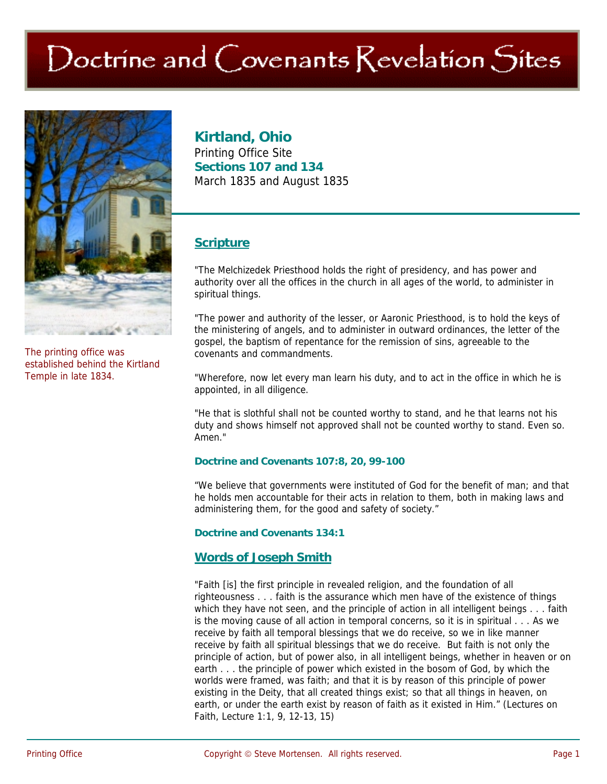# $\bigcirc$  Doctrine and  $\bigcirc$  ovenants  $\bigcirc$  evelation  $\bigcirc$ ites



The printing office was established behind the Kirtland Temple in late 1834.

## **Kirtland, Ohio**

Printing Office Site **Sections 107 and 134**  March 1835 and August 1835

### **Scripture**

"The Melchizedek Priesthood holds the right of presidency, and has power and authority over all the offices in the church in all ages of the world, to administer in spiritual things.

"The power and authority of the lesser, or Aaronic Priesthood, is to hold the keys of the ministering of angels, and to administer in outward ordinances, the letter of the gospel, the baptism of repentance for the remission of sins, agreeable to the covenants and commandments.

"Wherefore, now let every man learn his duty, and to act in the office in which he is appointed, in all diligence.

"He that is slothful shall not be counted worthy to stand, and he that learns not his duty and shows himself not approved shall not be counted worthy to stand. Even so. Amen."

#### **Doctrine and Covenants 107:8, 20, 99-100**

"We believe that governments were instituted of God for the benefit of man; and that he holds men accountable for their acts in relation to them, both in making laws and administering them, for the good and safety of society."

**Doctrine and Covenants 134:1**

## **Words of Joseph Smith**

"Faith [is] the first principle in revealed religion, and the foundation of all righteousness . . . faith is the assurance which men have of the existence of things which they have not seen, and the principle of action in all intelligent beings . . . faith is the moving cause of all action in temporal concerns, so it is in spiritual . . . As we receive by faith all temporal blessings that we do receive, so we in like manner receive by faith all spiritual blessings that we do receive. But faith is not only the principle of action, but of power also, in all intelligent beings, whether in heaven or on earth . . . the principle of power which existed in the bosom of God, by which the worlds were framed, was faith; and that it is by reason of this principle of power existing in the Deity, that all created things exist; so that all things in heaven, on earth, or under the earth exist by reason of faith as it existed in Him." (Lectures on Faith, Lecture 1:1, 9, 12-13, 15)